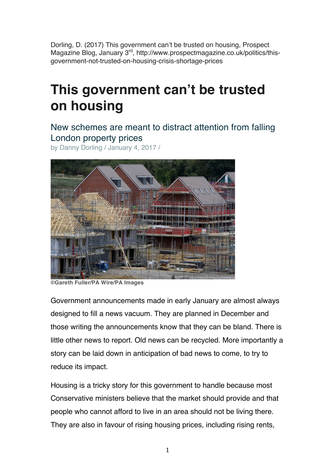Dorling, D. (2017) This government can't be trusted on housing, Prospect Magazine Blog, January 3<sup>rd</sup>, http://www.prospectmagazine.co.uk/politics/thisgovernment-not-trusted-on-housing-crisis-shortage-prices

## **This government can't be trusted on housing**

New schemes are meant to distract attention from falling London property prices

by Danny Dorling / January 4, 2017 /



**<sup>©</sup>Gareth Fuller/PA Wire/PA Images**

Government announcements made in early January are almost always designed to fill a news vacuum. They are planned in December and those writing the announcements know that they can be bland. There is little other news to report. Old news can be recycled. More importantly a story can be laid down in anticipation of bad news to come, to try to reduce its impact.

Housing is a tricky story for this government to handle because most Conservative ministers believe that the market should provide and that people who cannot afford to live in an area should not be living there. They are also in favour of rising housing prices, including rising rents,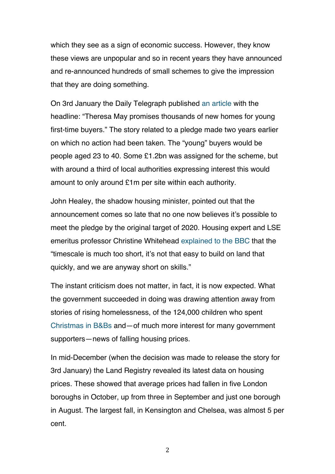which they see as a sign of economic success. However, they know these views are unpopular and so in recent years they have announced and re-announced hundreds of small schemes to give the impression that they are doing something.

On 3rd January the Daily Telegraph published an article with the headline: "Theresa May promises thousands of new homes for young first-time buyers." The story related to a pledge made two years earlier on which no action had been taken. The "young" buyers would be people aged 23 to 40. Some £1.2bn was assigned for the scheme, but with around a third of local authorities expressing interest this would amount to only around £1m per site within each authority.

John Healey, the shadow housing minister, pointed out that the announcement comes so late that no one now believes it's possible to meet the pledge by the original target of 2020. Housing expert and LSE emeritus professor Christine Whitehead explained to the BBC that the "timescale is much too short, it's not that easy to build on land that quickly, and we are anyway short on skills."

The instant criticism does not matter, in fact, it is now expected. What the government succeeded in doing was drawing attention away from stories of rising homelessness, of the 124,000 children who spent Christmas in B&Bs and—of much more interest for many government supporters—news of falling housing prices.

In mid-December (when the decision was made to release the story for 3rd January) the Land Registry revealed its latest data on housing prices. These showed that average prices had fallen in five London boroughs in October, up from three in September and just one borough in August. The largest fall, in Kensington and Chelsea, was almost 5 per cent.

2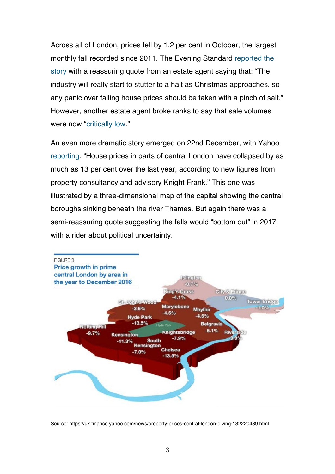Across all of London, prices fell by 1.2 per cent in October, the largest monthly fall recorded since 2011. The Evening Standard reported the story with a reassuring quote from an estate agent saying that: "The industry will really start to stutter to a halt as Christmas approaches, so any panic over falling house prices should be taken with a pinch of salt." However, another estate agent broke ranks to say that sale volumes were now "critically low."

An even more dramatic story emerged on 22nd December, with Yahoo reporting: "House prices in parts of central London have collapsed by as much as 13 per cent over the last year, according to new figures from property consultancy and advisory Knight Frank." This one was illustrated by a three-dimensional map of the capital showing the central boroughs sinking beneath the river Thames. But again there was a semi-reassuring quote suggesting the falls would "bottom out" in 2017, with a rider about political uncertainty.



Source: https://uk.finance.yahoo.com/news/property-prices-central-london-diving-132220439.html